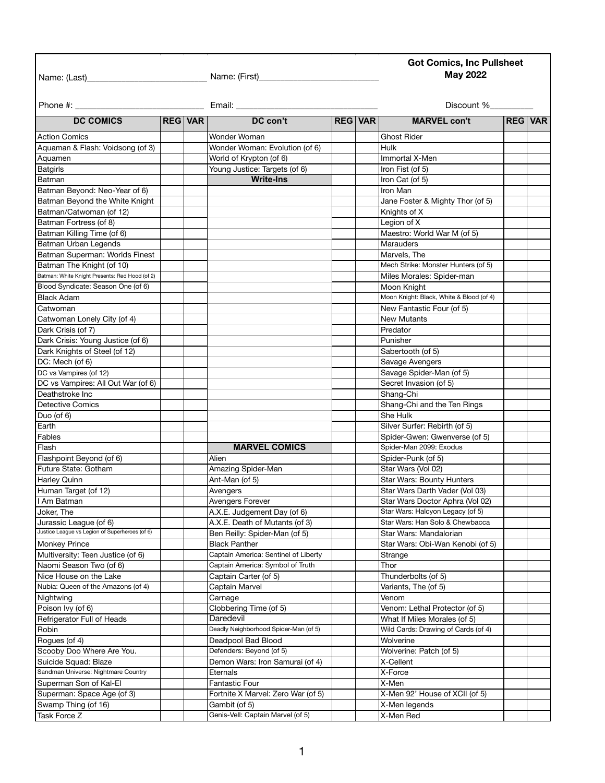## **Got Comics, Inc Pullsheet May 2022**

Name: (Last)\_\_\_\_\_\_\_\_\_\_\_\_\_\_\_\_\_\_\_\_\_\_\_\_\_\_\_\_ Name: (First)\_\_\_\_\_\_\_\_\_\_\_\_\_\_\_\_\_\_\_\_\_\_\_\_\_\_\_\_

| Phone #:                                                                 |                |  | Email:                                | Discount %     |                                                          |                |  |
|--------------------------------------------------------------------------|----------------|--|---------------------------------------|----------------|----------------------------------------------------------|----------------|--|
| <b>DC COMICS</b>                                                         | <b>REG VAR</b> |  | DC con't                              | <b>REG VAR</b> | <b>MARVEL con't</b>                                      | <b>REG VAR</b> |  |
| <b>Action Comics</b>                                                     |                |  | Wonder Woman                          |                | <b>Ghost Rider</b>                                       |                |  |
| Aquaman & Flash: Voidsong (of 3)                                         |                |  | Wonder Woman: Evolution (of 6)        |                | <b>Hulk</b>                                              |                |  |
| Aquamen                                                                  |                |  | World of Krypton (of 6)               |                | Immortal X-Men                                           |                |  |
| <b>Batgirls</b>                                                          |                |  | Young Justice: Targets (of 6)         |                | Iron Fist (of 5)                                         |                |  |
| Batman                                                                   |                |  | <b>Write-Ins</b>                      |                | Iron Cat (of 5)                                          |                |  |
| Batman Beyond: Neo-Year of 6)                                            |                |  |                                       |                | Iron Man                                                 |                |  |
| Batman Beyond the White Knight                                           |                |  |                                       |                | Jane Foster & Mighty Thor (of 5)                         |                |  |
| Batman/Catwoman (of 12)                                                  |                |  |                                       |                | Knights of X                                             |                |  |
| Batman Fortress (of 8)                                                   |                |  |                                       |                | Legion of X                                              |                |  |
| Batman Killing Time (of 6)                                               |                |  |                                       |                | Maestro: World War M (of 5)                              |                |  |
| Batman Urban Legends                                                     |                |  |                                       |                | Marauders                                                |                |  |
| Batman Superman: Worlds Finest                                           |                |  |                                       |                | Marvels, The                                             |                |  |
| Batman The Knight (of 10)                                                |                |  |                                       |                | Mech Strike: Monster Hunters (of 5)                      |                |  |
| Batman: White Knight Presents: Red Hood (of 2)                           |                |  |                                       |                | Miles Morales: Spider-man                                |                |  |
| Blood Syndicate: Season One (of 6)                                       |                |  |                                       |                | Moon Knight                                              |                |  |
| <b>Black Adam</b>                                                        |                |  |                                       |                | Moon Knight: Black, White & Blood (of 4)                 |                |  |
| Catwoman                                                                 |                |  |                                       |                | New Fantastic Four (of 5)                                |                |  |
| Catwoman Lonely City (of 4)                                              |                |  |                                       |                | <b>New Mutants</b>                                       |                |  |
| Dark Crisis (of 7)                                                       |                |  |                                       |                | Predator                                                 |                |  |
| Dark Crisis: Young Justice (of 6)                                        |                |  |                                       |                | Punisher                                                 |                |  |
| Dark Knights of Steel (of 12)                                            |                |  |                                       |                | Sabertooth (of 5)                                        |                |  |
| DC: Mech (of 6)                                                          |                |  |                                       |                | Savage Avengers                                          |                |  |
|                                                                          |                |  |                                       |                | Savage Spider-Man (of 5)                                 |                |  |
| DC vs Vampires (of 12)<br>DC vs Vampires: All Out War (of 6)             |                |  |                                       |                | Secret Invasion (of 5)                                   |                |  |
| Deathstroke Inc                                                          |                |  |                                       |                | Shang-Chi                                                |                |  |
|                                                                          |                |  |                                       |                |                                                          |                |  |
| Detective Comics                                                         |                |  |                                       |                | Shang-Chi and the Ten Rings                              |                |  |
| Duo (of 6)                                                               |                |  |                                       |                | She Hulk                                                 |                |  |
| Earth                                                                    |                |  |                                       |                | Silver Surfer: Rebirth (of 5)                            |                |  |
| Fables                                                                   |                |  |                                       |                | Spider-Gwen: Gwenverse (of 5)<br>Spider-Man 2099: Exodus |                |  |
| Flash                                                                    |                |  | <b>MARVEL COMICS</b>                  |                |                                                          |                |  |
| Flashpoint Beyond (of 6)                                                 |                |  | Alien                                 |                | Spider-Punk (of 5)                                       |                |  |
| Future State: Gotham                                                     |                |  | Amazing Spider-Man                    |                | Star Wars (Vol 02)                                       |                |  |
| Harley Quinn                                                             |                |  | Ant-Man (of 5)                        |                | Star Wars: Bounty Hunters                                |                |  |
| Human Target (of 12)                                                     |                |  | Avengers                              |                | Star Wars Darth Vader (Vol 03)                           |                |  |
| I Am Batman                                                              |                |  | Avengers Forever                      |                | Star Wars Doctor Aphra (Vol 02)                          |                |  |
| Joker, The                                                               |                |  | A.X.E. Judgement Day (of 6)           |                | Star Wars: Halcyon Legacy (of 5)                         |                |  |
| Jurassic League (of 6)<br>Justice League vs Legion of Superheroes (of 6) |                |  | A.X.E. Death of Mutants (of 3)        |                | Star Wars: Han Solo & Chewbacca                          |                |  |
|                                                                          |                |  | Ben Reilly: Spider-Man (of 5)         |                | Star Wars: Mandalorian                                   |                |  |
| <b>Monkey Prince</b>                                                     |                |  | <b>Black Panther</b>                  |                | Star Wars: Obi-Wan Kenobi (of 5)                         |                |  |
| Multiversity: Teen Justice (of 6)                                        |                |  | Captain America: Sentinel of Liberty  |                | Strange                                                  |                |  |
| Naomi Season Two (of 6)                                                  |                |  | Captain America: Symbol of Truth      |                | Thor                                                     |                |  |
| Nice House on the Lake                                                   |                |  | Captain Carter (of 5)                 |                | Thunderbolts (of 5)                                      |                |  |
| Nubia: Queen of the Amazons (of 4)                                       |                |  | Captain Marvel                        |                | Variants, The (of 5)                                     |                |  |
| Nightwing                                                                |                |  | Carnage                               |                | Venom                                                    |                |  |
| Poison Ivy (of 6)                                                        |                |  | Clobbering Time (of 5)                |                | Venom: Lethal Protector (of 5)                           |                |  |
| Refrigerator Full of Heads                                               |                |  | Daredevil                             |                | What If Miles Morales (of 5)                             |                |  |
| Robin                                                                    |                |  | Deadly Neighborhood Spider-Man (of 5) |                | Wild Cards: Drawing of Cards (of 4)                      |                |  |
| Rogues (of 4)                                                            |                |  | Deadpool Bad Blood                    |                | Wolverine                                                |                |  |
| Scooby Doo Where Are You.                                                |                |  | Defenders: Beyond (of 5)              |                | Wolverine: Patch (of 5)                                  |                |  |
| Suicide Squad: Blaze                                                     |                |  | Demon Wars: Iron Samurai (of 4)       |                | X-Cellent                                                |                |  |
| Sandman Universe: Nightmare Country                                      |                |  | Eternals                              |                | X-Force                                                  |                |  |
| Superman Son of Kal-El                                                   |                |  | <b>Fantastic Four</b>                 |                | X-Men                                                    |                |  |
| Superman: Space Age (of 3)                                               |                |  | Fortnite X Marvel: Zero War (of 5)    |                | X-Men 92' House of XCII (of 5)                           |                |  |
| Swamp Thing (of 16)                                                      |                |  | Gambit (of 5)                         |                | X-Men legends                                            |                |  |
| Task Force Z                                                             |                |  | Genis-Vell: Captain Marvel (of 5)     |                | X-Men Red                                                |                |  |